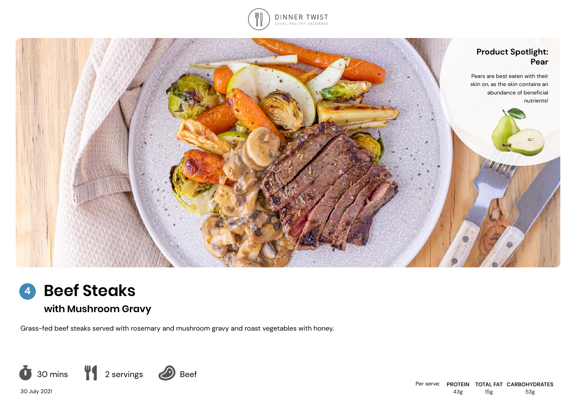





**with Mushroom Gravy**

Grass-fed beef steaks served with rosemary and mushroom gravy and roast vegetables with honey.



30 July 2021